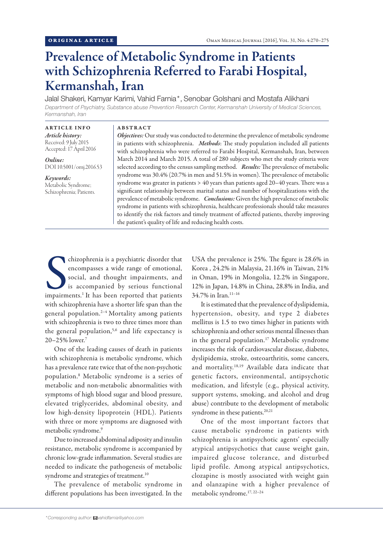# Prevalence of Metabolic Syndrome in Patients with Schizophrenia Referred to Farabi Hospital, Kermanshah, Iran

Jalal Shakeri, Kamyar Karimi, Vahid Farnia\*, Senobar Golshani and Mostafa Alikhani *Department of Psychiatry, Substance abuse Prevention Research Center, Kermanshah University of Medical Sciences, Kermanshah, Iran*

ABSTRACT

ARTICLE INFO *Article history:* Received: 9 July 2015 Accepted: 17 April 2016

*Online:* DOI 10.5001/omj.2016.53

## *Keywords:* Metabolic Syndrome; Schizophrenia; Patients.

*Objectives:* Our study was conducted to determine the prevalence of metabolic syndrome in patients with schizophrenia. *Methods*: The study population included all patients with schizophrenia who were referred to Farabi Hospital, Kermanshah, Iran, between March 2014 and March 2015. A total of 280 subjects who met the study criteria were selected according to the census sampling method. *Results:* The prevalence of metabolic syndrome was 30.4% (20.7% in men and 51.5% in women). The prevalence of metabolic syndrome was greater in patients > 40 years than patients aged 20–40 years. There was a significant relationship between marital status and number of hospitalizations with the prevalence of metabolic syndrome. *Conclusions:* Given the high prevalence of metabolic syndrome in patients with schizophrenia, healthcare professionals should take measures to identify the risk factors and timely treatment of affected patients, thereby improving the patient's quality of life and reducing health costs.

Chizophrenia is a psychiatric disorder that<br>encompasses a wide range of emotional,<br>social, and thought impairments, and<br>is accompanied by serious functional<br>impairments.<sup>1</sup> It has been reported that patients chizophrenia is a psychiatric disorder that encompasses a wide range of emotional, social, and thought impairments, and is accompanied by serious functional with schizophrenia have a shorter life span than the general population.2–4 Mortality among patients with schizophrenia is two to three times more than the general population,<sup>5,6</sup> and life expectancy is 20–25% lower.7

One of the leading causes of death in patients with schizophrenia is metabolic syndrome, which has a prevalence rate twice that of the non-psychotic population.8 Metabolic syndrome is a series of metabolic and non-metabolic abnormalities with symptoms of high blood sugar and blood pressure, elevated triglycerides, abdominal obesity, and low high-density lipoprotein (HDL). Patients with three or more symptoms are diagnosed with metabolic syndrome.9

Due to increased abdominal adiposity and insulin resistance, metabolic syndrome is accompanied by chronic low-grade inflammation. Several studies are needed to indicate the pathogenesis of metabolic syndrome and strategies of treatment.<sup>10</sup>

The prevalence of metabolic syndrome in different populations has been investigated. In the USA the prevalence is 25%. The figure is 28.6% in Korea , 24.2% in Malaysia, 21.16% in Taiwan, 21% in Oman, 19% in Mongolia, 12.2% in Singapore, 12% in Japan, 14.8% in China, 28.8% in India, and 34.7% in Iran.<sup>11-16</sup>

It is estimated that the prevalence of dyslipidemia, hypertension, obesity, and type 2 diabetes mellitus is 1.5 to two times higher in patients with schizophrenia and other serious mental illnesses than in the general population.17 Metabolic syndrome increases the risk of cardiovascular disease, diabetes, dyslipidemia, stroke, osteoarthritis, some cancers, and mortality.18,19 Available data indicate that genetic factors, environmental, antipsychotic medication, and lifestyle (e.g., physical activity, support systems, smoking, and alcohol and drug abuse) contribute to the development of metabolic syndrome in these patients.<sup>20,21</sup>

One of the most important factors that cause metabolic syndrome in patients with schizophrenia is antipsychotic agents' especially atypical antipsychotics that cause weight gain, impaired glucose tolerance, and disturbed lipid profile. Among atypical antipsychotics, clozapine is mostly associated with weight gain and olanzapine with a higher prevalence of metabolic syndrome.17, 22–24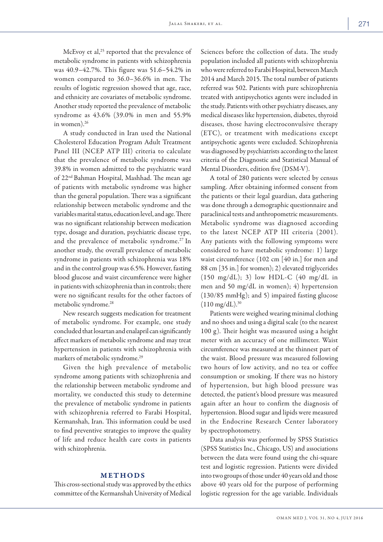McEvoy et al, $^{25}$  reported that the prevalence of metabolic syndrome in patients with schizophrenia was 40.9–42.7%. This figure was 51.6–54.2% in women compared to 36.0–36.6% in men. The results of logistic regression showed that age, race, and ethnicity are covariates of metabolic syndrome. Another study reported the prevalence of metabolic syndrome as 43.6% (39.0% in men and 55.9% in women).<sup>26</sup>

A study conducted in Iran used the National Cholesterol Education Program Adult Treatment Panel III (NCEP ATP III) criteria to calculate that the prevalence of metabolic syndrome was 39.8% in women admitted to the psychiatric ward of 22nd Bahman Hospital, Mashhad. The mean age of patients with metabolic syndrome was higher than the general population. There was a significant relationship between metabolic syndrome and the variables marital status, education level, and age. There was no significant relationship between medication type, dosage and duration, psychiatric disease type, and the prevalence of metabolic syndrome.<sup>27</sup> In another study, the overall prevalence of metabolic syndrome in patients with schizophrenia was 18% and in the control group was 6.5%. However, fasting blood glucose and waist circumference were higher in patients with schizophrenia than in controls; there were no significant results for the other factors of metabolic syndrome.28

New research suggests medication for treatment of metabolic syndrome. For example, one study concluded that losartan and enalapril can significantly affect markers of metabolic syndrome and may treat hypertension in patients with schizophrenia with markers of metabolic syndrome.29

Given the high prevalence of metabolic syndrome among patients with schizophrenia and the relationship between metabolic syndrome and mortality, we conducted this study to determine the prevalence of metabolic syndrome in patients with schizophrenia referred to Farabi Hospital, Kermanshah, Iran. This information could be used to find preventive strategies to improve the quality of life and reduce health care costs in patients with schizophrenia.

## METHODS

This cross-sectional study was approved by the ethics committee of the Kermanshah University of Medical

Sciences before the collection of data. The study population included all patients with schizophrenia who were referred to Farabi Hospital, between March 2014 and March 2015. The total number of patients referred was 502. Patients with pure schizophrenia treated with antipsychotics agents were included in the study. Patients with other psychiatry diseases, any medical diseases like hypertension, diabetes, thyroid diseases, those having electroconvulsive therapy (ETC), or treatment with medications except antipsychotic agents were excluded. Schizophrenia was diagnosed by psychiatrists according to the latest criteria of the Diagnostic and Statistical Manual of Mental Disorders, edition five (DSM-V).

A total of 280 patients were selected by census sampling. After obtaining informed consent from the patients or their legal guardian, data gathering was done through a demographic questionnaire and paraclinical tests and anthropometric measurements. Metabolic syndrome was diagnosed according to the latest NCEP ATP III criteria (2001). Any patients with the following symptoms were considered to have metabolic syndrome: 1) large waist circumference (102 cm [40 in.] for men and 88 cm [35 in.] for women); 2) elevated triglycerides (150 mg/dL); 3) low HDL-C (40 mg/dL in men and 50 mg/dL in women); 4) hypertension (130/85 mmHg); and 5) impaired fasting glucose  $(110 \text{ mg/dL})^{30}$ 

Patients were weighed wearing minimal clothing and no shoes and using a digital scale (to the nearest 100 g). Their height was measured using a height meter with an accuracy of one millimeter. Waist circumference was measured at the thinnest part of the waist. Blood pressure was measured following two hours of low activity, and no tea or coffee consumption or smoking. If there was no history of hypertension, but high blood pressure was detected, the patient's blood pressure was measured again after an hour to confirm the diagnosis of hypertension. Blood sugar and lipids were measured in the Endocrine Research Center laboratory by spectrophotometry.

Data analysis was performed by SPSS Statistics (SPSS Statistics Inc., Chicago, US) and associations between the data were found using the chi-square test and logistic regression. Patients were divided into two groups of those under 40 years old and those above 40 years old for the purpose of performing logistic regression for the age variable. Individuals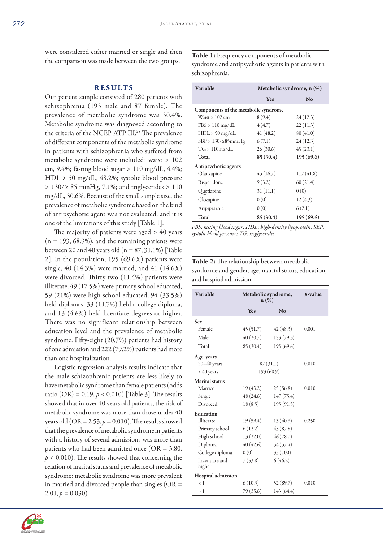were considered either married or single and then the comparison was made between the two groups.

# RESULTS

Our patient sample consisted of 280 patients with schizophrenia (193 male and 87 female). The prevalence of metabolic syndrome was 30.4%. Metabolic syndrome was diagnosed according to the criteria of the NCEP ATP III.28 The prevalence of different components of the metabolic syndrome in patients with schizophrenia who suffered from metabolic syndrome were included: waist > 102 cm, 9.4%; fasting blood sugar  $> 110$  mg/dL, 4.4%; HDL > 50 mg/dL, 48.2%; systolic blood pressure > 130/≥ 85 mmHg, 7.1%; and triglycerides > 110 mg/dL, 30.6%. Because of the small sample size, the prevalence of metabolic syndrome based on the kind of antipsychotic agent was not evaluated, and it is one of the limitations of this study [Table 1].

The majority of patients were aged > 40 years  $(n = 193, 68.9\%)$ , and the remaining patients were between 20 and 40 years old ( $n = 87, 31.1\%$ ) [Table 2]. In the population, 195 (69.6%) patients were single, 40 (14.3%) were married, and 41 (14.6%) were divorced. Thirty-two (11.4%) patients were illiterate, 49 (17.5%) were primary school educated, 59 (21%) were high school educated, 94 (33.5%) held diplomas, 33 (11.7%) held a college diploma, and 13 (4.6%) held licentiate degrees or higher. There was no significant relationship between education level and the prevalence of metabolic syndrome. Fifty-eight (20.7%) patients had history of one admission and 222 (79.2%) patients had more than one hospitalization.

Logistic regression analysis results indicate that the male schizophrenic patients are less likely to have metabolic syndrome than female patients (odds ratio (OR) =  $0.19, p < 0.010$ ) [Table 3]. The results showed that in over 40 years old patients, the risk of metabolic syndrome was more than those under 40 years old (OR =  $2.53$ ,  $p = 0.010$ ). The results showed that the prevalence of metabolic syndrome in patients with a history of several admissions was more than patients who had been admitted once (OR = 3.80,  $p < 0.010$ ). The results showed that concerning the relation of marital status and prevalence of metabolic syndrome; metabolic syndrome was more prevalent in married and divorced people than singles (OR =  $2.01, p = 0.030$ .

Table 1: Frequency components of metabolic syndrome and antipsychotic agents in patients with schizophrenia.

| Variable                             | Metabolic syndrome, n (%) |           |  |  |  |  |
|--------------------------------------|---------------------------|-----------|--|--|--|--|
|                                      | Yes                       | No        |  |  |  |  |
| Components of the metabolic syndrome |                           |           |  |  |  |  |
| Waist $> 102$ cm                     | 8(9.4)                    | 24(12.3)  |  |  |  |  |
| $FBS > 110$ mg/dL                    | 4(4.7)                    | 22(11.3)  |  |  |  |  |
| $HDL > 50$ mg/dL                     | 41(48.2)                  | 80(41.0)  |  |  |  |  |
| $SBP > 130 / \geq 85$ mmHg           | 6(7.1)                    | 24(12.3)  |  |  |  |  |
| TG > 110mg/dL                        | 26(30.6)                  | 45(23.1)  |  |  |  |  |
| Total                                | 85 (30.4)                 | 195(69.6) |  |  |  |  |
| Antipsychotic agents                 |                           |           |  |  |  |  |
| Olanzapine                           | 45(16.7)                  | 117(41.8) |  |  |  |  |
| Risperidone                          | 9(3.2)                    | 60(21.4)  |  |  |  |  |
| Quetiapine                           | 31(11.1)                  | 0(0)      |  |  |  |  |
| Clozapine                            | 0(0)                      | 12(4.3)   |  |  |  |  |
| Aripiprazole                         | 0(0)                      | 6(2.1)    |  |  |  |  |
| Total                                | 85 (30.4)                 | 195(69.6) |  |  |  |  |

*FBS: fasting blood sugar; HDL: high-density lipoprotein; SBP: systolic blood pressure; TG: triglycerides.*

# Table 2: The relationship between metabolic syndrome and gender, age, marital status, education, and hospital admission.

| Variable                 | Metabolic syndrome,<br>$n(\%)$ | <i>p</i> -value |       |
|--------------------------|--------------------------------|-----------------|-------|
|                          | <b>Yes</b>                     | N <sub>o</sub>  |       |
| <b>Sex</b>               |                                |                 |       |
| Female                   | 45 (51.7)                      | 42(48.3)        | 0.001 |
| Male                     | 40(20.7)                       | 153(79.3)       |       |
| Total                    | 85 (30.4)                      | 195(69.6)       |       |
| Age, years               |                                |                 |       |
| $20 - 40$ years          | 87(31.1)                       |                 | 0.010 |
| $> 40$ years             | 193 (68.9)                     |                 |       |
| <b>Marital</b> status    |                                |                 |       |
| Married                  | 19(43.2)                       | 25(56.8)        | 0.010 |
| Single                   | 48 (24.6)                      | 147(75.4)       |       |
| Divorced                 | 18(8.5)                        | 195(91.5)       |       |
| Education                |                                |                 |       |
| Illiterate               | 19(59.4)                       | 13(40.6)        | 0.250 |
| Primary school           | 6(12.2)                        | 43(87.8)        |       |
| High school              | 13(22.0)                       | 46(78.0)        |       |
| Diploma                  | 40(42.6)                       | 54(57.4)        |       |
| College diploma          | 0(0)                           | 33 (100)        |       |
| Licentiate and<br>higher | 7(53.8)                        | 6(46.2)         |       |
| Hospital admission       |                                |                 |       |
| $\langle$ 1              | 6(10.3)                        | 52(89.7)        | 0.010 |
| >1                       | 79 (35.6)                      | 143(64.4)       |       |

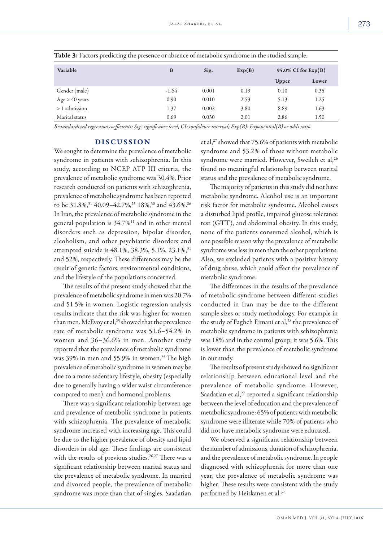| Variable         | B       | Sig.  | Exp(B) | 95.0% CI for $Exp(B)$ |       |
|------------------|---------|-------|--------|-----------------------|-------|
|                  |         |       |        | Upper                 | Lower |
| Gender (male)    | $-1.64$ | 0.001 | 0.19   | 0.10                  | 0.35  |
| Age $> 40$ years | 0.90    | 0.010 | 2.53   | 5.13                  | 1.25  |
| > 1 admission    | 1.37    | 0.002 | 3.80   | 8.89                  | 1.63  |
| Marital status   | 0.69    | 0.030 | 2.01   | 2.86                  | 1.50  |

Table 3: Factors predicting the presence or absence of metabolic syndrome in the studied sample.

*B:standardized regression coefficients; Sig: significance level, CI: confidence interval; Exp(B): Exponential(B) or odds ratio.*

#### DISCUSSION

We sought to determine the prevalence of metabolic syndrome in patients with schizophrenia. In this study, according to NCEP ATP III criteria, the prevalence of metabolic syndrome was 30.4%. Prior research conducted on patients with schizophrenia, prevalence of metabolic syndrome has been reported to be 31.8%,<sup>31</sup> 40.09–42.7%,<sup>25</sup> 18%,<sup>30</sup> and 43.6%.<sup>26</sup> In Iran, the prevalence of metabolic syndrome in the general population is 34.7%11 and in other mental disorders such as depression, bipolar disorder, alcoholism, and other psychiatric disorders and attempted suicide is 48.1%, 38.3%, 5.1%, 23.1%, <sup>31</sup> and 52%, respectively. These differences may be the result of genetic factors, environmental conditions, and the lifestyle of the populations concerned.

The results of the present study showed that the prevalence of metabolic syndrome in men was 20.7% and 51.5% in women. Logistic regression analysis results indicate that the risk was higher for women than men. McEvoy et al,<sup>25</sup> showed that the prevalence rate of metabolic syndrome was 51.6–54.2% in women and 36–36.6% in men. Another study reported that the prevalence of metabolic syndrome was 39% in men and 55.9% in women.<sup>25</sup> The high prevalence of metabolic syndrome in women may be due to a more sedentary lifestyle, obesity (especially due to generally having a wider waist circumference compared to men), and hormonal problems.

There was a significant relationship between age and prevalence of metabolic syndrome in patients with schizophrenia. The prevalence of metabolic syndrome increased with increasing age. This could be due to the higher prevalence of obesity and lipid disorders in old age. These findings are consistent with the results of previous studies.<sup>26,27</sup> There was a significant relationship between marital status and the prevalence of metabolic syndrome. In married and divorced people, the prevalence of metabolic syndrome was more than that of singles. Saadatian et al,<sup>27</sup> showed that 75.6% of patients with metabolic syndrome and 53.2% of those without metabolic syndrome were married. However, Sweileh et al,<sup>26</sup> found no meaningful relationship between marital status and the prevalence of metabolic syndrome.

The majority of patients in this study did not have metabolic syndrome. Alcohol use is an important risk factor for metabolic syndrome. Alcohol causes a disturbed lipid profile, impaired glucose tolerance test (GTT), and abdominal obesity. In this study, none of the patients consumed alcohol, which is one possible reason why the prevalence of metabolic syndrome was less in men than the other populations. Also, we excluded patients with a positive history of drug abuse, which could affect the prevalence of metabolic syndrome.

The differences in the results of the prevalence of metabolic syndrome between different studies conducted in Iran may be due to the different sample sizes or study methodology. For example in the study of Fagheh Eimani et al,<sup>28</sup> the prevalence of metabolic syndrome in patients with schizophrenia was 18% and in the control group, it was 5.6%. This is lower than the prevalence of metabolic syndrome in our study.

The results of present study showed no significant relationship between educational level and the prevalence of metabolic syndrome. However, Saadatian et al,<sup>27</sup> reported a significant relationship between the level of education and the prevalence of metabolic syndrome: 65% of patients with metabolic syndrome were illiterate while 70% of patients who did not have metabolic syndrome were educated.

We observed a significant relationship between the number of admissions, duration of schizophrenia, and the prevalence of metabolic syndrome. In people diagnosed with schizophrenia for more than one year, the prevalence of metabolic syndrome was higher. These results were consistent with the study performed by Heiskanen et al.32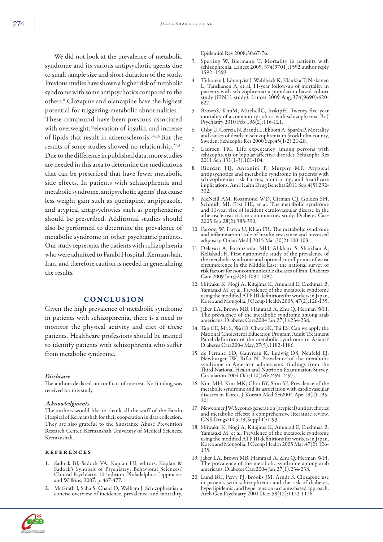We did not look at the prevalence of metabolic syndrome and its various antipsychotic agents due to small sample size and short duration of the study. Previous studies have shown a higher risk of metabolic syndrome with some antipsychotics compared to the others.8 Clozapine and olanzapine have the highest potential for triggering metabolic abnormalities.<sup>11</sup> These compound have been previous associated with overweight,<sup>33</sup> elevation of insulin, and increase of lipids that result in atherosclerosis.34,35 But the results of some studies showed no relationship.27,31 Due to the difference in published data, more studies are needed in this area to determine the medications that can be prescribed that have fewer metabolic side effects. In patients with schizophrenia and metabolic syndrome, antipsychotic agents' that cause less weight gain such as quetiapine, aripiprazole, and atypical antipsychotics such as perphenazine should be prescribed. Additional studies should also be performed to determine the prevalence of metabolic syndrome in other psychiatric patients. Our study represents the patients with schizophrenia who were admitted to Farabi Hospital, Kermanshah, Iran, and therefore caution is needed in generalizing the results.

## CONCLUSION

Given the high prevalence of metabolic syndrome in patients with schizophrenia, there is a need to monitor the physical activity and diet of these patients. Healthcare professions should be trained to identify patients with schizophrenia who suffer from metabolic syndrome.

#### *Disclosure*

The authors declared no conflicts of interest. No funding was received for this study.

#### *Acknowledgments*

The authors would like to thank all the staff of the Farabi Hospital of Kermanshah for their cooperation in data collection. They are also grateful to the Substance Abuse Prevention Research Center, Kermanshah University of Medical Sciences, Kermanshah.

#### references

- Sadock BJ, Sadock VA, Kaplan HI, editors. Kaplan & Sadock's Synopsis of Psychiatry: Behavioral Sciences/ Clinical Psychiatry. 10<sup>th</sup> edition. Philadelphia: Lippincott<br>and Wilkins; 2007. p. 467-477.
- 2. McGrath J, Saha S, Chant D, Welham J. Schizophrenia: a concise overview of incidence, prevalence, and mortality.

Epidemiol Rev 2008;30:67-76.

- 3. Sperling W, Biermann T. Mortality in patients with schizophrenia. Lancet 2009, 374(9701):1592;author reply 1592–1593.
- 4. Tiihonen J, Lönnqvist J, Wahlbeck K, Klaukka T, Niskanen L, Tanskanen A, et al. 11-year follow-up of mortality in patients with schizophrenia: a population-based cohort study (FIN11 study). Lancet 2009 Aug;374(9690):620- 627.
- 5. BrownS, KimM, MitchellC, InskipH. Twenty-five year mortality of a community cohort with schizophrenia. Br J Psychiatry 2010 Feb;196(2):116-121.
- 6. Osby U, Correia N, Brandt L, Ekbom A, Sparén P. Mortality and causes of death in schizophrenia in Stockholm county, Sweden. Schizophr Res 2000 Sep;45(1-2):21-28.
- 7. Laursen TM. Life expectancy among persons with schizophrenia or bipolar affective disorder. Schizophr Res 2011 Sep;131(1-3):101-104.
- 8. Riordan HJ, Antonini P, Murphy MF. Atypical antipsychotics and metabolic syndrome in patients with schizophrenia: risk factors, monitoring, and healthcare implications. Am Health Drug Benefits 2011 Sep;4(5):292- 302.
- 9. McNeill AM, Rosamond WD, Girman CJ, Golden SH, Schmidt MI, East HE, et al. The metabolic syndrome and 11-year risk of incident cardiovascular disease in the atherosclerosis risk in communities study. Diabetes Care 2005 Feb;28(2):385-390.
- 10. Farooq W, Farwa U, Khan FR. The metabolic syndrome and inflammation: role of insulin resistance and increased adiposity. Oman Med J 2015 Mar;30(2):100-103.
- 11. Delavari A, Forouzanfar MH, Alikhani S, Sharifian A, Kelishadi R. First nationwide study of the prevalence of the metabolic syndrome and optimal cutoff points of waist circumference in the Middle East: the national survey of risk factors for noncommunicable diseases of Iran. Diabetes Care 2009 Jun;32(6):1092-1097.
- 12. Shiwaku K, Nogi A, Kitajima K, Anuurad E, Enkhmaa B, Yamasaki M, et al. Prevalence of the metabolic syndrome using the modified ATP III definitions for workers in Japan, Korea and Mongolia. J Occup Health 2005; 47(2):126-135.
- 13. Jaber LA, Brown MB, Hammad A, Zhu Q, Herman WH. The prevalence of the metabolic syndrome among arab americans. Diabetes Care2004 Jan;27(1):234-238.
- 14. Tan CE, Ma S, Wai D, Chew SK, Tai ES. Can we apply the National Cholesterol Education Program Adult Treatment Panel definition of the metabolic syndrome to Asians? Diabetes Care2004 May;27(5):1182-1186.
- 15. de Ferranti SD, Gauvreau K, Ludwig DS, Neufeld EJ, Newburger JW, Rifai N. Prevalence of the metabolic syndrome in American adolescents: findings from the Third National Health and Nutrition Examination Survey. Circulation 2004 Oct;110(16):2494-2497.
- 16. Kim MH, Kim MK, Choi BY, Shin YJ. Prevalence of the metabolic syndrome and its association with cardiovascular diseases in Korea. J Korean Med Sci2004 Apr;19(2):195- 201.
- 17. Newcomer JW. Second-generation (atypical) antipsychotics and metabolic effects: a comprehensive literature review. CNS Drugs2005;19(Suppl 1):1-93.
- 18. Shiwaku K, Nogi A, Kitajima K, Anuurad E, Enkhmaa B, Yamasaki M, et al. Prevalence of the metabolic syndrome using the modified ATP III definitions for workers in Japan, Korea and Mongolia. J Occup Health 2005 Mar;47(2):126- 135.
- 19. Jaber LA, Brown MB, Hammad A, Zhu Q, Herman WH. The prevalence of the metabolic syndrome among arab americans. Diabetes Care2004 Jan;27(1):234-238.
- 20. Lund BC, Perry PJ, Brooks JM, Arndt S. Clozapine use in patients with schizophrenia and the risk of diabetes, hyperlipidemia, and hypertension: a claims-based approach. Arch Gen Psychiatry 2001 Dec; 58(12):1172-1176.